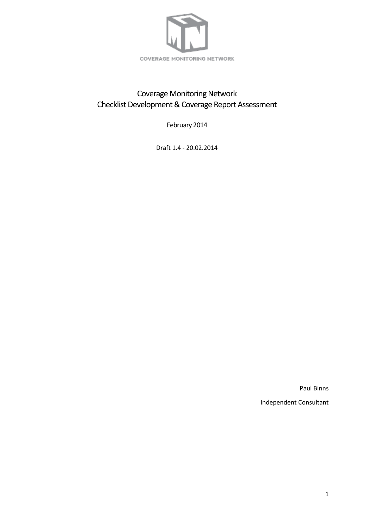

# Coverage Monitoring Network Checklist Development & Coverage Report Assessment

February 2014

Draft 1.4 - 20.02.2014

<span id="page-0-0"></span>Paul Binns Independent Consultant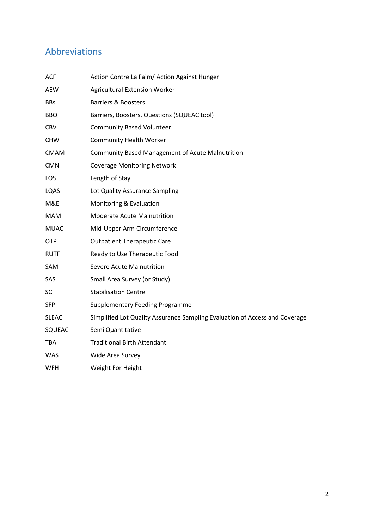# Abbreviations

| <b>ACF</b>   | Action Contre La Faim/ Action Against Hunger                                |
|--------------|-----------------------------------------------------------------------------|
| <b>AEW</b>   | <b>Agricultural Extension Worker</b>                                        |
| <b>BBs</b>   | <b>Barriers &amp; Boosters</b>                                              |
| <b>BBQ</b>   | Barriers, Boosters, Questions (SQUEAC tool)                                 |
| <b>CBV</b>   | <b>Community Based Volunteer</b>                                            |
| <b>CHW</b>   | <b>Community Health Worker</b>                                              |
| <b>CMAM</b>  | <b>Community Based Management of Acute Malnutrition</b>                     |
| <b>CMN</b>   | <b>Coverage Monitoring Network</b>                                          |
| LOS          | Length of Stay                                                              |
| LQAS         | Lot Quality Assurance Sampling                                              |
| M&E          | Monitoring & Evaluation                                                     |
| <b>MAM</b>   | Moderate Acute Malnutrition                                                 |
| <b>MUAC</b>  | Mid-Upper Arm Circumference                                                 |
| <b>OTP</b>   | <b>Outpatient Therapeutic Care</b>                                          |
| <b>RUTF</b>  | Ready to Use Therapeutic Food                                               |
| SAM          | Severe Acute Malnutrition                                                   |
| SAS          | Small Area Survey (or Study)                                                |
| SC           | <b>Stabilisation Centre</b>                                                 |
| <b>SFP</b>   | <b>Supplementary Feeding Programme</b>                                      |
| <b>SLEAC</b> | Simplified Lot Quality Assurance Sampling Evaluation of Access and Coverage |
| SQUEAC       | Semi Quantitative                                                           |
| <b>TBA</b>   | <b>Traditional Birth Attendant</b>                                          |
| <b>WAS</b>   | Wide Area Survey                                                            |
| <b>WFH</b>   | Weight For Height                                                           |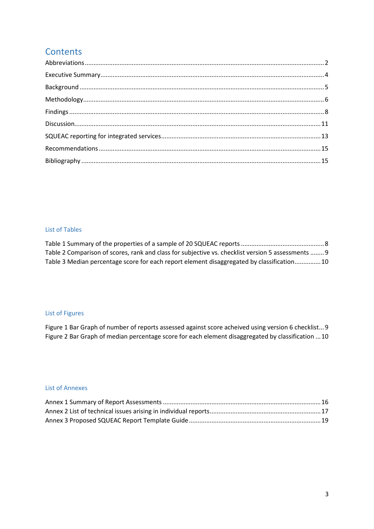# **Contents**

### List of Tables

| Table 2 Comparison of scores, rank and class for subjective vs. checklist version 5 assessments  9 |  |
|----------------------------------------------------------------------------------------------------|--|
| Table 3 Median percentage score for each report element disaggregated by classification10          |  |

## List of Figures

[Figure 1 Bar Graph of number of reports assessed against score acheived using version 6 checklist...9](#page-8-2) [Figure 2 Bar Graph of median percentage score for each element disaggregated by classification](#page-9-0) ...10

### List of Annexes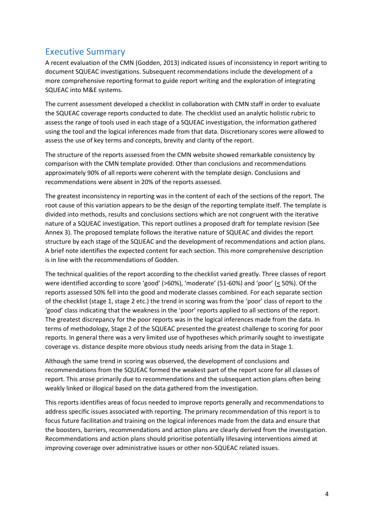# <span id="page-3-0"></span>Executive Summary

A recent evaluation of the CMN (Godden, 2013) indicated issues of inconsistency in report writing to document SQUEAC investigations. Subsequent recommendations include the development of a more comprehensive reporting format to guide report writing and the exploration of integrating SQUEAC into M&E systems.

The current assessment developed a checklist in collaboration with CMN staff in order to evaluate the SQUEAC coverage reports conducted to date. The checklist used an analytic holistic rubric to assess the range of tools used in each stage of a SQUEAC investigation, the information gathered using the tool and the logical inferences made from that data. Discretionary scores were allowed to assess the use of key terms and concepts, brevity and clarity of the report.

The structure of the reports assessed from the CMN website showed remarkable consistency by comparison with the CMN template provided. Other than conclusions and recommendations approximately 90% of all reports were coherent with the template design. Conclusions and recommendations were absent in 20% of the reports assessed.

The greatest inconsistency in reporting was in the content of each of the sections of the report. The root cause of this variation appears to be the design of the reporting template itself. The template is divided into methods, results and conclusions sections which are not congruent with the iterative nature of a SQUEAC investigation. This report outlines a proposed draft for template revision (See Annex 3). The proposed template follows the iterative nature of SQUEAC and divides the report structure by each stage of the SQUEAC and the development of recommendations and action plans. A brief note identifies the expected content for each section. This more comprehensive description is in line with the recommendations of Godden.

The technical qualities of the report according to the checklist varied greatly. Three classes of report were identified according to score 'good' (>60%), 'moderate' (51-60%) and 'poor' (< 50%). Of the reports assessed 50% fell into the good and moderate classes combined. For each separate section of the checklist (stage 1, stage 2 etc.) the trend in scoring was from the 'poor' class of report to the 'good' class indicating that the weakness in the 'poor' reports applied to all sections of the report. The greatest discrepancy for the poor reports was in the logical inferences made from the data. In terms of methodology, Stage 2 of the SQUEAC presented the greatest challenge to scoring for poor reports. In general there was a very limited use of hypotheses which primarily sought to investigate coverage vs. distance despite more obvious study needs arising from the data in Stage 1.

Although the same trend in scoring was observed, the development of conclusions and recommendations from the SQUEAC formed the weakest part of the report score for all classes of report. This arose primarily due to recommendations and the subsequent action plans often being weakly linked or illogical based on the data gathered from the investigation.

This reports identifies areas of focus needed to improve reports generally and recommendations to address specific issues associated with reporting. The primary recommendation of this report is to focus future facilitation and training on the logical inferences made from the data and ensure that the boosters, barriers, recommendations and action plans are clearly derived from the investigation. Recommendations and action plans should prioritise potentially lifesaving interventions aimed at improving coverage over administrative issues or other non-SQUEAC related issues.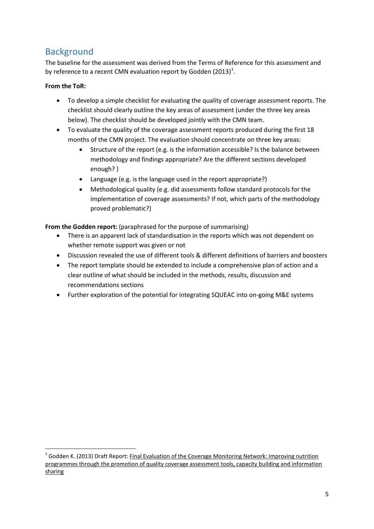# <span id="page-4-0"></span>**Background**

The baseline for the assessment was derived from the Terms of Reference for this assessment and by reference to a recent CMN evaluation report by Godden (20[1](#page-4-1)3)<sup>1</sup>.

## **From the ToR:**

- To develop a simple checklist for evaluating the quality of coverage assessment reports. The checklist should clearly outline the key areas of assessment (under the three key areas below). The checklist should be developed jointly with the CMN team.
- To evaluate the quality of the coverage assessment reports produced during the first 18 months of the CMN project. The evaluation should concentrate on three key areas:
	- Structure of the report (e.g. is the information accessible? Is the balance between methodology and findings appropriate? Are the different sections developed enough? )
	- Language (e.g. is the language used in the report appropriate?)
	- Methodological quality (e.g. did assessments follow standard protocols for the implementation of coverage assessments? If not, which parts of the methodology proved problematic?)

**From the Godden report:** (paraphrased for the purpose of summarising)

- There is an apparent lack of standardisation in the reports which was not dependent on whether remote support was given or not
- Discussion revealed the use of different tools & different definitions of barriers and boosters
- The report template should be extended to include a comprehensive plan of action and a clear outline of what should be included in the methods, results, discussion and recommendations sections
- Further exploration of the potential for integrating SQUEAC into on-going M&E systems

<span id="page-4-1"></span><sup>&</sup>lt;sup>1</sup> Godden K. (2013) Draft Report: Final Evaluation of the Coverage Monitoring Network: Improving nutrition programmes through the promotion of quality coverage assessment tools, capacity building and information sharing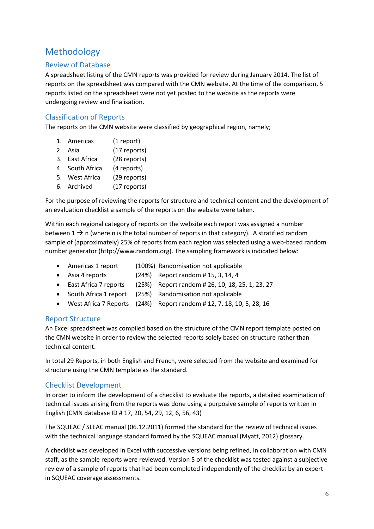## <span id="page-5-0"></span>Methodology

## Review of Database

A spreadsheet listing of the CMN reports was provided for review during January 2014. The list of reports on the spreadsheet was compared with the CMN website. At the time of the comparison, 5 reports listed on the spreadsheet were not yet posted to the website as the reports were undergoing review and finalisation.

## Classification of Reports

The reports on the CMN website were classified by geographical region, namely;

- 1. Americas (1 report)
- 2. Asia (17 reports)
- 3. East Africa (28 reports)
- 4. South Africa (4 reports)
- 5. West Africa (29 reports)
- 6. Archived (17 reports)

For the purpose of reviewing the reports for structure and technical content and the development of an evaluation checklist a sample of the reports on the website were taken.

Within each regional category of reports on the website each report was assigned a number between  $1 \rightarrow n$  (where n is the total number of reports in that category). A stratified random sample of (approximately) 25% of reports from each region was selected using a web-based random number generator (http://www.random.org). The sampling framework is indicated below:

- Americas 1 report (100%) Randomisation not applicable
- 
- Asia 4 reports (24%) Report random # 15, 3, 14, 4
- East Africa 7 reports  $(25%)$  Report random # 26, 10, 18, 25, 1, 23, 27
- South Africa 1 report (25%) Randomisation not applicable
- West Africa 7 Reports (24%) Report random # 12, 7, 18, 10, 5, 28, 16

## Report Structure

An Excel spreadsheet was compiled based on the structure of the CMN report template posted on the CMN website in order to review the selected reports solely based on structure rather than technical content.

In total 29 Reports, in both English and French, were selected from the website and examined for structure using the CMN template as the standard.

## Checklist Development

In order to inform the development of a checklist to evaluate the reports, a detailed examination of technical issues arising from the reports was done using a purposive sample of reports written in English (CMN database ID # 17, 20, 54, 29, 12, 6, 56, 43)

The SQUEAC / SLEAC manual (06.12.2011) formed the standard for the review of technical issues with the technical language standard formed by the SQUEAC manual (Myatt, 2012) glossary.

A checklist was developed in Excel with successive versions being refined, in collaboration with CMN staff, as the sample reports were reviewed. Version 5 of the checklist was tested against a subjective review of a sample of reports that had been completed independently of the checklist by an expert in SQUEAC coverage assessments.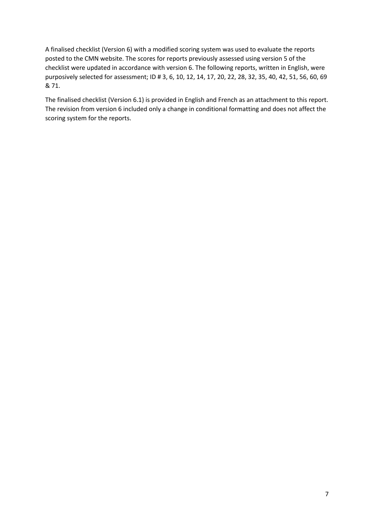A finalised checklist (Version 6) with a modified scoring system was used to evaluate the reports posted to the CMN website. The scores for reports previously assessed using version 5 of the checklist were updated in accordance with version 6. The following reports, written in English, were purposively selected for assessment; ID # 3, 6, 10, 12, 14, 17, 20, 22, 28, 32, 35, 40, 42, 51, 56, 60, 69 & 71.

The finalised checklist (Version 6.1) is provided in English and French as an attachment to this report. The revision from version 6 included only a change in conditional formatting and does not affect the scoring system for the reports.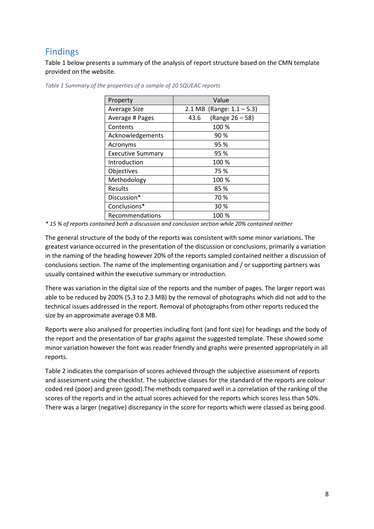# <span id="page-7-0"></span>Findings

Table 1 below presents a summary of the analysis of report structure based on the CMN template provided on the website.

| Value                        |  |  |  |  |
|------------------------------|--|--|--|--|
| 2.1 MB (Range: $1.1 - 5.3$ ) |  |  |  |  |
| (Range 26 - 58)<br>43.6      |  |  |  |  |
| 100 %                        |  |  |  |  |
| 90%                          |  |  |  |  |
| 95 %                         |  |  |  |  |
| 95 %                         |  |  |  |  |
| 100 %                        |  |  |  |  |
| 75 %                         |  |  |  |  |
| 100 %                        |  |  |  |  |
| 85%                          |  |  |  |  |
| 70 %                         |  |  |  |  |
| 30 %                         |  |  |  |  |
| 100 %                        |  |  |  |  |
|                              |  |  |  |  |

<span id="page-7-1"></span>*Table 1 Summary of the properties of a sample of 20 SQUEAC reports*

*\* 15 % of reports contained both a discussion and conclusion section while 20% contained neither*

The general structure of the body of the reports was consistent with some minor variations. The greatest variance occurred in the presentation of the discussion or conclusions, primarily a variation in the naming of the heading however 20% of the reports sampled contained neither a discussion of conclusions section. The name of the implementing organisation and / or supporting partners was usually contained within the executive summary or introduction.

There was variation in the digital size of the reports and the number of pages. The larger report was able to be reduced by 200% (5.3 to 2.3 MB) by the removal of photographs which did not add to the technical issues addressed in the report. Removal of photographs from other reports reduced the size by an approximate average 0.8 MB.

Reports were also analysed for properties including font (and font size) for headings and the body of the report and the presentation of bar graphs against the suggested template. These showed some minor variation however the font was reader friendly and graphs were presented appropriately in all reports.

Table 2 indicates the comparison of scores achieved through the subjective assessment of reports and assessment using the checklist. The subjective classes for the standard of the reports are colour coded red (poor) and green (good).The methods compared well in a correlation of the ranking of the scores of the reports and in the actual scores achieved for the reports which scores less than 50%. There was a larger (negative) discrepancy in the score for reports which were classed as being good.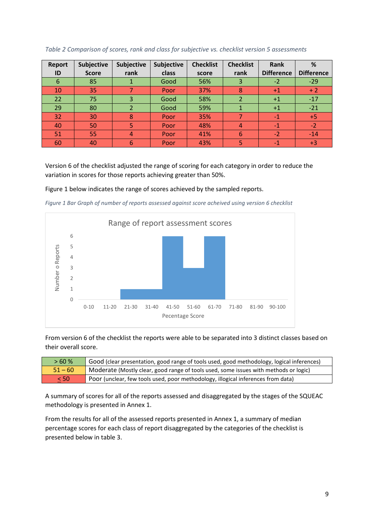| <b>Report</b> | Subjective   | Subjective       | Subjective | <b>Checklist</b> | <b>Checklist</b> | Rank              | %                 |
|---------------|--------------|------------------|------------|------------------|------------------|-------------------|-------------------|
| ID            | <b>Score</b> | rank             | class      | score            | rank             | <b>Difference</b> | <b>Difference</b> |
| 6             | 85           |                  | Good       | 56%              | 3                | $-2$              | $-29$             |
| 10            | 35           |                  | Poor       | 37%              | 8                | $+1$              | $+2$              |
| 22            | 75           | 3                | Good       | 58%              |                  | $+1$              | $-17$             |
| 29            | 80           |                  | Good       | 59%              |                  | $+1$              | $-21$             |
| 32            | 30           | 8                | Poor       | 35%              |                  | $-1$              | $+5$              |
| 40            | 50           | 5                | Poor       | 48%              |                  | $-1$              | $-2$              |
| 51            | 55           | $\boldsymbol{A}$ | Poor       | 41%              | 6                | $-2$              | $-14$             |
| 60            | 40           | 6                | Poor       | 43%              |                  | -1                | $+3$              |

### <span id="page-8-0"></span>*Table 2 Comparison of scores, rank and class for subjective vs. checklist version 5 assessments*

Version 6 of the checklist adjusted the range of scoring for each category in order to reduce the variation in scores for those reports achieving greater than 50%.

### Figure 1 below indicates the range of scores achieved by the sampled reports.

<span id="page-8-2"></span>*Figure 1 Bar Graph of number of reports assessed against score acheived using version 6 checklist*



From version 6 of the checklist the reports were able to be separated into 3 distinct classes based on their overall score.

| >60%      | Good (clear presentation, good range of tools used, good methodology, logical inferences) |
|-----------|-------------------------------------------------------------------------------------------|
| $51 - 60$ | Moderate (Mostly clear, good range of tools used, some issues with methods or logic)      |
| < 50      | Poor (unclear, few tools used, poor methodology, illogical inferences from data)          |

A summary of scores for all of the reports assessed and disaggregated by the stages of the SQUEAC methodology is presented in Annex 1.

<span id="page-8-1"></span>From the results for all of the assessed reports presented in Annex 1, a summary of median percentage scores for each class of report disaggregated by the categories of the checklist is presented below in table 3.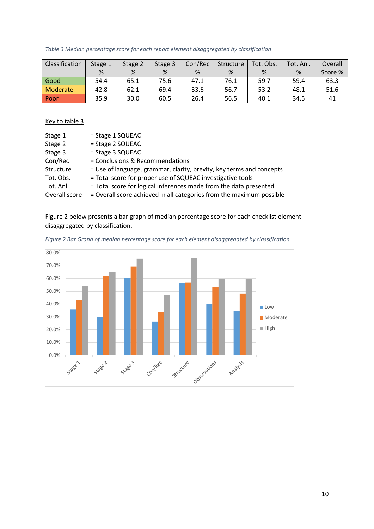*Table 3 Median percentage score for each report element disaggregated by classification*

| Classification | Stage 1 | Stage 2 | Stage 3 | Con/Rec | Structure | Tot. Obs. | Tot. Anl. | Overall |
|----------------|---------|---------|---------|---------|-----------|-----------|-----------|---------|
|                | %       | %       | %       | %       | %         | %         | %         | Score % |
| Good           | 54.4    | 65.1    | 75.6    | 47.1    | 76.1      | 59.7      | 59.4      | 63.3    |
| Moderate       | 42.8    | 62.1    | 69.4    | 33.6    | 56.7      | 53.2      | 48.1      | 51.6    |
| l Poor         | 35.9    | 30.0    | 60.5    | 26.4    | 56.5      | 40.1      | 34.5      | 41      |

## Key to table 3

| Stage 1       | $=$ Stage 1 SQUEAC                                                   |
|---------------|----------------------------------------------------------------------|
| Stage 2       | = Stage 2 SQUEAC                                                     |
| Stage 3       | $=$ Stage 3 SQUEAC                                                   |
| Con/Rec       | = Conclusions & Recommendations                                      |
| Structure     | = Use of language, grammar, clarity, brevity, key terms and concepts |
| Tot. Obs.     | = Total score for proper use of SQUEAC investigative tools           |
| Tot. Anl.     | = Total score for logical inferences made from the data presented    |
| Overall score | = Overall score achieved in all categories from the maximum possible |

Figure 2 below presents a bar graph of median percentage score for each checklist element disaggregated by classification.



<span id="page-9-0"></span>*Figure 2 Bar Graph of median percentage score for each element disaggregated by classification*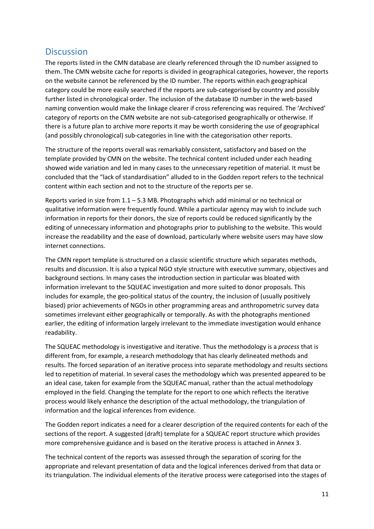## <span id="page-10-0"></span>**Discussion**

The reports listed in the CMN database are clearly referenced through the ID number assigned to them. The CMN website cache for reports is divided in geographical categories, however, the reports on the website cannot be referenced by the ID number. The reports within each geographical category could be more easily searched if the reports are sub-categorised by country and possibly further listed in chronological order. The inclusion of the database ID number in the web-based naming convention would make the linkage clearer if cross referencing was required. The 'Archived' category of reports on the CMN website are not sub-categorised geographically or otherwise. If there is a future plan to archive more reports it may be worth considering the use of geographical (and possibly chronological) sub-categories in line with the categorisation other reports.

The structure of the reports overall was remarkably consistent, satisfactory and based on the template provided by CMN on the website. The technical content included under each heading showed wide variation and led in many cases to the unnecessary repetition of material. It must be concluded that the "lack of standardisation" alluded to in the Godden report refers to the technical content within each section and not to the structure of the reports per se.

Reports varied in size from 1.1 – 5.3 MB. Photographs which add minimal or no technical or qualitative information were frequently found. While a particular agency may wish to include such information in reports for their donors, the size of reports could be reduced significantly by the editing of unnecessary information and photographs prior to publishing to the website. This would increase the readability and the ease of download, particularly where website users may have slow internet connections.

The CMN report template is structured on a classic scientific structure which separates methods, results and discussion. It is also a typical NGO style structure with executive summary, objectives and background sections. In many cases the introduction section in particular was bloated with information irrelevant to the SQUEAC investigation and more suited to donor proposals. This includes for example, the geo-political status of the country, the inclusion of (usually positively biased) prior achievements of NGOs in other programming areas and anthropometric survey data sometimes irrelevant either geographically or temporally. As with the photographs mentioned earlier, the editing of information largely irrelevant to the immediate investigation would enhance readability.

The SQUEAC methodology is investigative and iterative. Thus the methodology is a *process* that is different from, for example, a research methodology that has clearly delineated methods and results. The forced separation of an iterative process into separate methodology and results sections led to repetition of material. In several cases the methodology which was presented appeared to be an ideal case, taken for example from the SQUEAC manual, rather than the actual methodology employed in the field. Changing the template for the report to one which reflects the iterative process would likely enhance the description of the actual methodology, the triangulation of information and the logical inferences from evidence.

The Godden report indicates a need for a clearer description of the required contents for each of the sections of the report. A suggested (draft) template for a SQUEAC report structure which provides more comprehensive guidance and is based on the iterative process is attached in Annex 3.

The technical content of the reports was assessed through the separation of scoring for the appropriate and relevant presentation of data and the logical inferences derived from that data or its triangulation. The individual elements of the iterative process were categorised into the stages of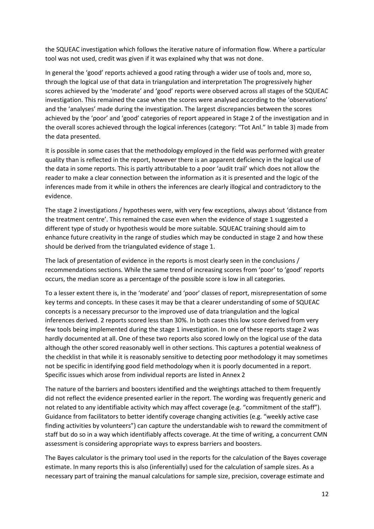the SQUEAC investigation which follows the iterative nature of information flow. Where a particular tool was not used, credit was given if it was explained why that was not done.

In general the 'good' reports achieved a good rating through a wider use of tools and, more so, through the logical use of that data in triangulation and interpretation The progressively higher scores achieved by the 'moderate' and 'good' reports were observed across all stages of the SQUEAC investigation. This remained the case when the scores were analysed according to the 'observations' and the 'analyses' made during the investigation. The largest discrepancies between the scores achieved by the 'poor' and 'good' categories of report appeared in Stage 2 of the investigation and in the overall scores achieved through the logical inferences (category: "Tot Anl." In table 3) made from the data presented.

It is possible in some cases that the methodology employed in the field was performed with greater quality than is reflected in the report, however there is an apparent deficiency in the logical use of the data in some reports. This is partly attributable to a poor 'audit trail' which does not allow the reader to make a clear connection between the information as it is presented and the logic of the inferences made from it while in others the inferences are clearly illogical and contradictory to the evidence.

The stage 2 investigations / hypotheses were, with very few exceptions, always about 'distance from the treatment centre'. This remained the case even when the evidence of stage 1 suggested a different type of study or hypothesis would be more suitable. SQUEAC training should aim to enhance future creativity in the range of studies which may be conducted in stage 2 and how these should be derived from the triangulated evidence of stage 1.

The lack of presentation of evidence in the reports is most clearly seen in the conclusions / recommendations sections. While the same trend of increasing scores from 'poor' to 'good' reports occurs, the median score as a percentage of the possible score is low in all categories.

To a lesser extent there is, in the 'moderate' and 'poor' classes of report, misrepresentation of some key terms and concepts. In these cases it may be that a clearer understanding of some of SQUEAC concepts is a necessary precursor to the improved use of data triangulation and the logical inferences derived. 2 reports scored less than 30%. In both cases this low score derived from very few tools being implemented during the stage 1 investigation. In one of these reports stage 2 was hardly documented at all. One of these two reports also scored lowly on the logical use of the data although the other scored reasonably well in other sections. This captures a potential weakness of the checklist in that while it is reasonably sensitive to detecting poor methodology it may sometimes not be specific in identifying good field methodology when it is poorly documented in a report. Specific issues which arose from individual reports are listed in Annex 2

The nature of the barriers and boosters identified and the weightings attached to them frequently did not reflect the evidence presented earlier in the report. The wording was frequently generic and not related to any identifiable activity which may affect coverage (e.g. "commitment of the staff"). Guidance from facilitators to better identify coverage changing activities (e.g. "weekly active case finding activities by volunteers") can capture the understandable wish to reward the commitment of staff but do so in a way which identifiably affects coverage. At the time of writing, a concurrent CMN assessment is considering appropriate ways to express barriers and boosters.

The Bayes calculator is the primary tool used in the reports for the calculation of the Bayes coverage estimate. In many reports this is also (inferentially) used for the calculation of sample sizes. As a necessary part of training the manual calculations for sample size, precision, coverage estimate and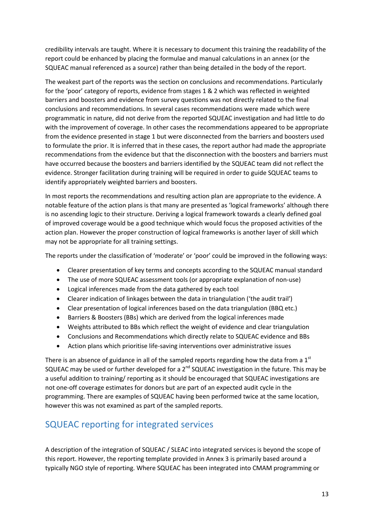credibility intervals are taught. Where it is necessary to document this training the readability of the report could be enhanced by placing the formulae and manual calculations in an annex (or the SQUEAC manual referenced as a source) rather than being detailed in the body of the report.

The weakest part of the reports was the section on conclusions and recommendations. Particularly for the 'poor' category of reports, evidence from stages 1 & 2 which was reflected in weighted barriers and boosters and evidence from survey questions was not directly related to the final conclusions and recommendations. In several cases recommendations were made which were programmatic in nature, did not derive from the reported SQUEAC investigation and had little to do with the improvement of coverage. In other cases the recommendations appeared to be appropriate from the evidence presented in stage 1 but were disconnected from the barriers and boosters used to formulate the prior. It is inferred that in these cases, the report author had made the appropriate recommendations from the evidence but that the disconnection with the boosters and barriers must have occurred because the boosters and barriers identified by the SQUEAC team did not reflect the evidence. Stronger facilitation during training will be required in order to guide SQUEAC teams to identify appropriately weighted barriers and boosters.

In most reports the recommendations and resulting action plan are appropriate to the evidence. A notable feature of the action plans is that many are presented as 'logical frameworks' although there is no ascending logic to their structure. Deriving a logical framework towards a clearly defined goal of improved coverage would be a good technique which would focus the proposed activities of the action plan. However the proper construction of logical frameworks is another layer of skill which may not be appropriate for all training settings.

The reports under the classification of 'moderate' or 'poor' could be improved in the following ways:

- Clearer presentation of key terms and concepts according to the SQUEAC manual standard
- The use of more SQUEAC assessment tools (or appropriate explanation of non-use)
- Logical inferences made from the data gathered by each tool
- Clearer indication of linkages between the data in triangulation ('the audit trail')
- Clear presentation of logical inferences based on the data triangulation (BBQ etc.)
- Barriers & Boosters (BBs) which are derived from the logical inferences made
- Weights attributed to BBs which reflect the weight of evidence and clear triangulation
- Conclusions and Recommendations which directly relate to SQUEAC evidence and BBs
- Action plans which prioritise life-saving interventions over administrative issues

There is an absence of guidance in all of the sampled reports regarding how the data from a  $1<sup>st</sup>$ SQUEAC may be used or further developed for a 2<sup>nd</sup> SQUEAC investigation in the future. This may be a useful addition to training/ reporting as it should be encouraged that SQUEAC investigations are not one-off coverage estimates for donors but are part of an expected audit cycle in the programming. There are examples of SQUEAC having been performed twice at the same location, however this was not examined as part of the sampled reports.

## <span id="page-12-0"></span>SQUEAC reporting for integrated services

A description of the integration of SQUEAC / SLEAC into integrated services is beyond the scope of this report. However, the reporting template provided in Annex 3 is primarily based around a typically NGO style of reporting. Where SQUEAC has been integrated into CMAM programming or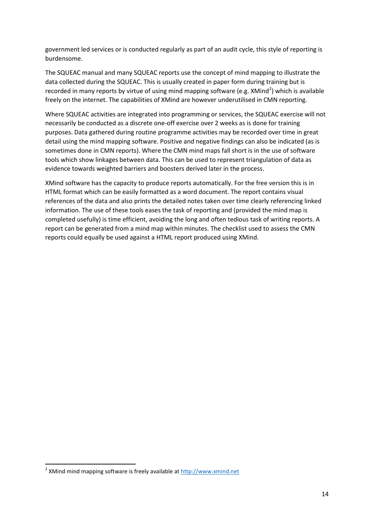government led services or is conducted regularly as part of an audit cycle, this style of reporting is burdensome.

The SQUEAC manual and many SQUEAC reports use the concept of mind mapping to illustrate the data collected during the SQUEAC. This is usually created in paper form during training but is recorded in many reports by virtue of using mind mapping software (e.g. XMind<sup>[2](#page-13-0)</sup>) which is available freely on the internet. The capabilities of XMind are however underutilised in CMN reporting.

Where SQUEAC activities are integrated into programming or services, the SQUEAC exercise will not necessarily be conducted as a discrete one-off exercise over 2 weeks as is done for training purposes. Data gathered during routine programme activities may be recorded over time in great detail using the mind mapping software. Positive and negative findings can also be indicated (as is sometimes done in CMN reports). Where the CMN mind maps fall short is in the use of software tools which show linkages between data. This can be used to represent triangulation of data as evidence towards weighted barriers and boosters derived later in the process.

XMind software has the capacity to produce reports automatically. For the free version this is in HTML format which can be easily formatted as a word document. The report contains visual references of the data and also prints the detailed notes taken over time clearly referencing linked information. The use of these tools eases the task of reporting and (provided the mind map is completed usefully) is time efficient, avoiding the long and often tedious task of writing reports. A report can be generated from a mind map within minutes. The checklist used to assess the CMN reports could equally be used against a HTML report produced using XMind.

<span id="page-13-0"></span> <sup>2</sup> XMind mind mapping software is freely available at [http://www.xmind.net](http://www.xmind.net/)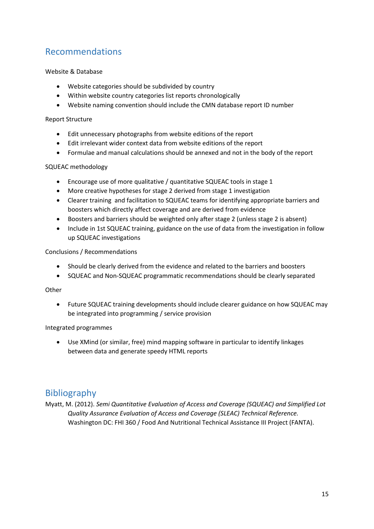# <span id="page-14-0"></span>Recommendations

### Website & Database

- Website categories should be subdivided by country
- Within website country categories list reports chronologically
- Website naming convention should include the CMN database report ID number

### Report Structure

- Edit unnecessary photographs from website editions of the report
- Edit irrelevant wider context data from website editions of the report
- Formulae and manual calculations should be annexed and not in the body of the report

### SQUEAC methodology

- Encourage use of more qualitative / quantitative SQUEAC tools in stage 1
- More creative hypotheses for stage 2 derived from stage 1 investigation
- Clearer training and facilitation to SQUEAC teams for identifying appropriate barriers and boosters which directly affect coverage and are derived from evidence
- Boosters and barriers should be weighted only after stage 2 (unless stage 2 is absent)
- Include in 1st SQUEAC training, guidance on the use of data from the investigation in follow up SQUEAC investigations

### Conclusions / Recommendations

- Should be clearly derived from the evidence and related to the barriers and boosters
- SQUEAC and Non-SQUEAC programmatic recommendations should be clearly separated

### **Other**

• Future SQUEAC training developments should include clearer guidance on how SQUEAC may be integrated into programming / service provision

### Integrated programmes

• Use XMind (or similar, free) mind mapping software in particular to identify linkages between data and generate speedy HTML reports

## <span id="page-14-1"></span>Bibliography

Myatt, M. (2012). *Semi Quantitative Evaluation of Access and Coverage (SQUEAC) and Simplified Lot Quality Assurance Evaluation of Access and Coverage (SLEAC) Technical Reference.* Washington DC: FHI 360 / Food And Nutritional Technical Assistance III Project (FANTA).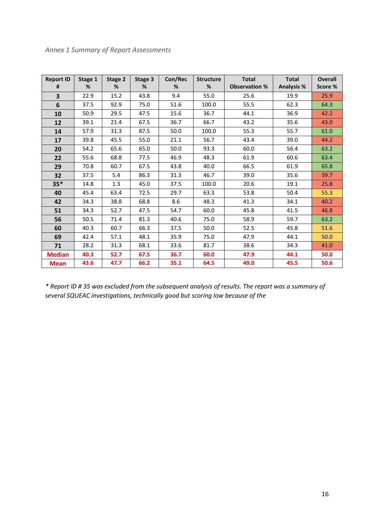## <span id="page-15-0"></span>*Annex 1 Summary of Report Assessments*

| <b>Report ID</b> | Stage 1 | Stage 2 | Stage 3 | Con/Rec | <b>Structure</b> | <b>Total</b>         | <b>Total</b>      | <b>Overall</b> |
|------------------|---------|---------|---------|---------|------------------|----------------------|-------------------|----------------|
| #                | %       | %       | %       | %       | %                | <b>Observation %</b> | <b>Analysis %</b> | Score %        |
| 3                | 22.9    | 15.2    | 43.8    | 9.4     | 55.0             | 25.6                 | 19.9              | 25.9           |
| 6                | 37.5    | 92.9    | 75.0    | 51.6    | 100.0            | 55.5                 | 62.3              | 64.3           |
| 10               | 50.9    | 29.5    | 47.5    | 15.6    | 36.7             | 44.1                 | 36.9              | 42.2           |
| 12               | 39.1    | 21.4    | 67.5    | 36.7    | 66.7             | 43.2                 | 35.6              | 43.0           |
| 14               | 57.9    | 31.3    | 87.5    | 50.0    | 100.0            | 55.3                 | 55.7              | 61.0           |
| 17               | 39.8    | 45.5    | 55.0    | 21.1    | 56.7             | 43.4                 | 39.0              | 44.2           |
| 20               | 54.2    | 65.6    | 65.0    | 50.0    | 93.3             | 60.0                 | 56.4              | 63.2           |
| 22               | 55.6    | 68.8    | 77.5    | 46.9    | 48.3             | 61.9                 | 60.6              | 63.4           |
| 29               | 70.8    | 60.7    | 67.5    | 43.8    | 40.0             | 66.5                 | 61.9              | 65.8           |
| 32               | 37.5    | 5.4     | 86.3    | 31.3    | 46.7             | 39.0                 | 35.6              | 39.7           |
| $35*$            | 14.8    | 1.3     | 45.0    | 37.5    | 100.0            | 20.6                 | 19.1              | 25.8           |
| 40               | 45.4    | 63.4    | 72.5    | 29.7    | 63.3             | 53.8                 | 50.4              | 55.3           |
| 42               | 34.3    | 38.8    | 68.8    | 8.6     | 48.3             | 41.3                 | 34.1              | 40.2           |
| 51               | 34.3    | 52.7    | 47.5    | 54.7    | 60.0             | 45.8                 | 41.5              | 46.8           |
| 56               | 50.5    | 71.4    | 81.3    | 40.6    | 75.0             | 58.9                 | 59.7              | 63.2           |
| 60               | 40.3    | 60.7    | 66.3    | 37.5    | 50.0             | 52.5                 | 45.8              | 51.6           |
| 69               | 42.4    | 57.1    | 48.1    | 35.9    | 75.0             | 47.9                 | 44.1              | 50.0           |
| 71               | 28.2    | 31.3    | 68.1    | 33.6    | 81.7             | 38.6                 | 34.3              | 41.0           |
| <b>Median</b>    | 40.3    | 52.7    | 67.5    | 36.7    | 60.0             | 47.9                 | 44.1              | 50.0           |
| <b>Mean</b>      | 43.6    | 47.7    | 66.2    | 35.1    | 64.5             | 49.0                 | 45.5              | 50.6           |

*\* Report ID # 35 was excluded from the subsequent analysis of results. The report was a summary of several SQUEAC investigations, technically good but scoring low because of the*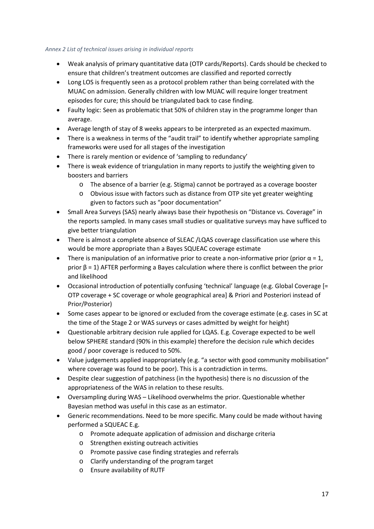### <span id="page-16-0"></span>*Annex 2 List of technical issues arising in individual reports*

- Weak analysis of primary quantitative data (OTP cards/Reports). Cards should be checked to ensure that children's treatment outcomes are classified and reported correctly
- Long LOS is frequently seen as a protocol problem rather than being correlated with the MUAC on admission. Generally children with low MUAC will require longer treatment episodes for cure; this should be triangulated back to case finding.
- Faulty logic: Seen as problematic that 50% of children stay in the programme longer than average.
- Average length of stay of 8 weeks appears to be interpreted as an expected maximum.
- There is a weakness in terms of the "audit trail" to identify whether appropriate sampling frameworks were used for all stages of the investigation
- There is rarely mention or evidence of 'sampling to redundancy'
- There is weak evidence of triangulation in many reports to justify the weighting given to boosters and barriers
	- o The absence of a barrier (e.g. Stigma) cannot be portrayed as a coverage booster
	- o Obvious issue with factors such as distance from OTP site yet greater weighting given to factors such as "poor documentation"
- Small Area Surveys (SAS) nearly always base their hypothesis on "Distance vs. Coverage" in the reports sampled. In many cases small studies or qualitative surveys may have sufficed to give better triangulation
- There is almost a complete absence of SLEAC /LQAS coverage classification use where this would be more appropriate than a Bayes SQUEAC coverage estimate
- There is manipulation of an informative prior to create a non-informative prior (prior  $\alpha = 1$ , prior  $β = 1$ ) AFTER performing a Bayes calculation where there is conflict between the prior and likelihood
- Occasional introduction of potentially confusing 'technical' language (e.g. Global Coverage [= OTP coverage + SC coverage or whole geographical area] & Priori and Posteriori instead of Prior/Posterior)
- Some cases appear to be ignored or excluded from the coverage estimate (e.g. cases in SC at the time of the Stage 2 or WAS surveys or cases admitted by weight for height)
- Questionable arbitrary decision rule applied for LQAS. E.g. Coverage expected to be well below SPHERE standard (90% in this example) therefore the decision rule which decides good / poor coverage is reduced to 50%.
- Value judgements applied inappropriately (e.g. "a sector with good community mobilisation" where coverage was found to be poor). This is a contradiction in terms.
- Despite clear suggestion of patchiness (in the hypothesis) there is no discussion of the appropriateness of the WAS in relation to these results.
- Oversampling during WAS Likelihood overwhelms the prior. Questionable whether Bayesian method was useful in this case as an estimator.
- Generic recommendations. Need to be more specific. Many could be made without having performed a SQUEAC E.g.
	- o Promote adequate application of admission and discharge criteria
	- o Strengthen existing outreach activities
	- o Promote passive case finding strategies and referrals
	- o Clarify understanding of the program target
	- o Ensure availability of RUTF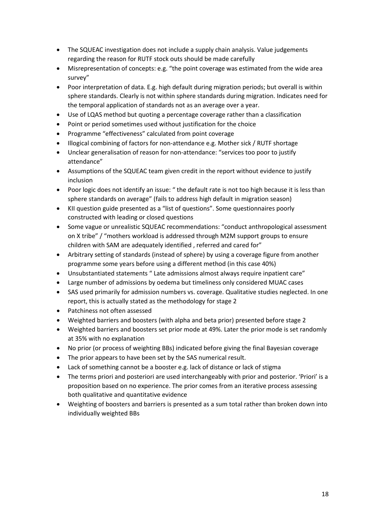- The SQUEAC investigation does not include a supply chain analysis. Value judgements regarding the reason for RUTF stock outs should be made carefully
- Misrepresentation of concepts: e.g. "the point coverage was estimated from the wide area survey"
- Poor interpretation of data. E.g. high default during migration periods; but overall is within sphere standards. Clearly is not within sphere standards during migration. Indicates need for the temporal application of standards not as an average over a year.
- Use of LQAS method but quoting a percentage coverage rather than a classification
- Point or period sometimes used without justification for the choice
- Programme "effectiveness" calculated from point coverage
- Illogical combining of factors for non-attendance e.g. Mother sick / RUTF shortage
- Unclear generalisation of reason for non-attendance: "services too poor to justify attendance"
- Assumptions of the SQUEAC team given credit in the report without evidence to justify inclusion
- Poor logic does not identify an issue: " the default rate is not too high because it is less than sphere standards on average" (fails to address high default in migration season)
- KII question guide presented as a "list of questions". Some questionnaires poorly constructed with leading or closed questions
- Some vague or unrealistic SQUEAC recommendations: "conduct anthropological assessment on X tribe" / "mothers workload is addressed through M2M support groups to ensure children with SAM are adequately identified , referred and cared for"
- Arbitrary setting of standards (instead of sphere) by using a coverage figure from another programme some years before using a different method (in this case 40%)
- Unsubstantiated statements " Late admissions almost always require inpatient care"
- Large number of admissions by oedema but timeliness only considered MUAC cases
- SAS used primarily for admission numbers vs. coverage. Qualitative studies neglected. In one report, this is actually stated as the methodology for stage 2
- Patchiness not often assessed
- Weighted barriers and boosters (with alpha and beta prior) presented before stage 2
- Weighted barriers and boosters set prior mode at 49%. Later the prior mode is set randomly at 35% with no explanation
- No prior (or process of weighting BBs) indicated before giving the final Bayesian coverage
- The prior appears to have been set by the SAS numerical result.
- Lack of something cannot be a booster e.g. lack of distance or lack of stigma
- The terms priori and posteriori are used interchangeably with prior and posterior. 'Priori' is a proposition based on no experience. The prior comes from an iterative process assessing both qualitative and quantitative evidence
- Weighting of boosters and barriers is presented as a sum total rather than broken down into individually weighted BBs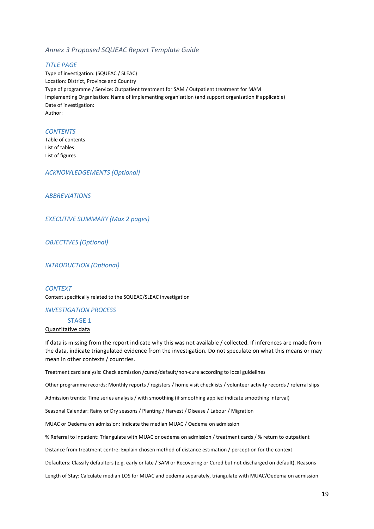### <span id="page-18-0"></span>*Annex 3 Proposed SQUEAC Report Template Guide*

#### *TITLE PAGE*

Type of investigation: (SQUEAC / SLEAC) Location: District, Province and Country Type of programme / Service: Outpatient treatment for SAM / Outpatient treatment for MAM Implementing Organisation: Name of implementing organisation (and support organisation if applicable) Date of investigation: Author:

#### *CONTENTS*

Table of contents List of tables List of figures

*ACKNOWLEDGEMENTS (Optional)*

*ABBREVIATIONS*

*EXECUTIVE SUMMARY (Max 2 pages)*

*OBJECTIVES (Optional)*

*INTRODUCTION (Optional)*

*CONTEXT* Context specifically related to the SQUEAC/SLEAC investigation

#### *INVESTIGATION PROCESS*

#### STAGE 1

#### Quantitative data

If data is missing from the report indicate why this was not available / collected. If inferences are made from the data, indicate triangulated evidence from the investigation. Do not speculate on what this means or may mean in other contexts / countries.

Treatment card analysis: Check admission /cured/default/non-cure according to local guidelines

Other programme records: Monthly reports / registers / home visit checklists / volunteer activity records / referral slips

Admission trends: Time series analysis / with smoothing (if smoothing applied indicate smoothing interval)

Seasonal Calendar: Rainy or Dry seasons / Planting / Harvest / Disease / Labour / Migration

MUAC or Oedema on admission: Indicate the median MUAC / Oedema on admission

% Referral to inpatient: Triangulate with MUAC or oedema on admission / treatment cards / % return to outpatient

Distance from treatment centre: Explain chosen method of distance estimation / perception for the context

Defaulters: Classify defaulters (e.g. early or late / SAM or Recovering or Cured but not discharged on default). Reasons

Length of Stay: Calculate median LOS for MUAC and oedema separately, triangulate with MUAC/Oedema on admission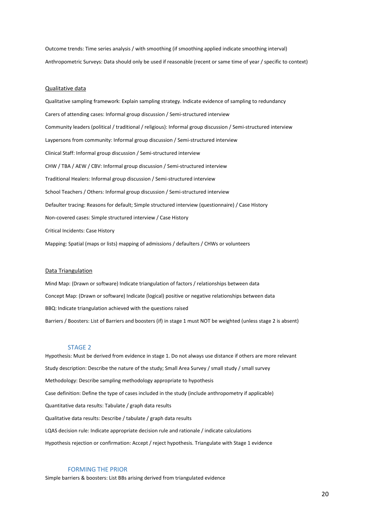Outcome trends: Time series analysis / with smoothing (if smoothing applied indicate smoothing interval) Anthropometric Surveys: Data should only be used if reasonable (recent or same time of year / specific to context)

#### Qualitative data

Qualitative sampling framework: Explain sampling strategy. Indicate evidence of sampling to redundancy Carers of attending cases: Informal group discussion / Semi-structured interview Community leaders (political / traditional / religious): Informal group discussion / Semi-structured interview Laypersons from community: Informal group discussion / Semi-structured interview Clinical Staff: Informal group discussion / Semi-structured interview CHW / TBA / AEW / CBV: Informal group discussion / Semi-structured interview Traditional Healers: Informal group discussion / Semi-structured interview School Teachers / Others: Informal group discussion / Semi-structured interview Defaulter tracing: Reasons for default; Simple structured interview (questionnaire) / Case History Non-covered cases: Simple structured interview / Case History Critical Incidents: Case History Mapping: Spatial (maps or lists) mapping of admissions / defaulters / CHWs or volunteers

#### Data Triangulation

Mind Map: (Drawn or software) Indicate triangulation of factors / relationships between data Concept Map: (Drawn or software) Indicate (logical) positive or negative relationships between data BBQ: Indicate triangulation achieved with the questions raised Barriers / Boosters: List of Barriers and boosters (if) in stage 1 must NOT be weighted (unless stage 2 is absent)

#### STAGE 2

Hypothesis: Must be derived from evidence in stage 1. Do not always use distance if others are more relevant Study description: Describe the nature of the study; Small Area Survey / small study / small survey Methodology: Describe sampling methodology appropriate to hypothesis Case definition: Define the type of cases included in the study (include anthropometry if applicable) Quantitative data results: Tabulate / graph data results Qualitative data results: Describe / tabulate / graph data results LQAS decision rule: Indicate appropriate decision rule and rationale / indicate calculations Hypothesis rejection or confirmation: Accept / reject hypothesis. Triangulate with Stage 1 evidence

### FORMING THE PRIOR

Simple barriers & boosters: List BBs arising derived from triangulated evidence